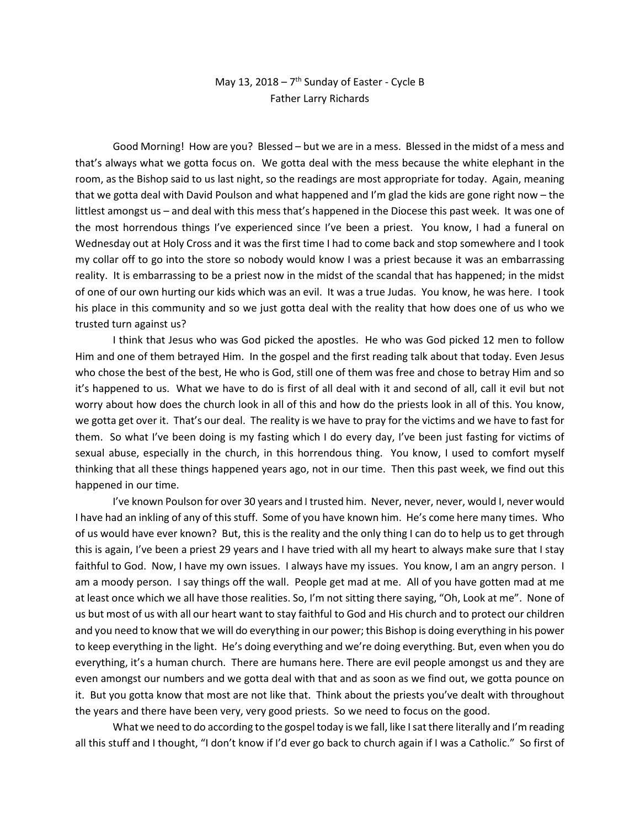## May 13, 2018 –  $7<sup>th</sup>$  Sunday of Easter - Cycle B Father Larry Richards

Good Morning! How are you? Blessed – but we are in a mess. Blessed in the midst of a mess and that's always what we gotta focus on. We gotta deal with the mess because the white elephant in the room, as the Bishop said to us last night, so the readings are most appropriate for today. Again, meaning that we gotta deal with David Poulson and what happened and I'm glad the kids are gone right now – the littlest amongst us – and deal with this mess that's happened in the Diocese this past week. It was one of the most horrendous things I've experienced since I've been a priest. You know, I had a funeral on Wednesday out at Holy Cross and it was the first time I had to come back and stop somewhere and I took my collar off to go into the store so nobody would know I was a priest because it was an embarrassing reality. It is embarrassing to be a priest now in the midst of the scandal that has happened; in the midst of one of our own hurting our kids which was an evil. It was a true Judas. You know, he was here. I took his place in this community and so we just gotta deal with the reality that how does one of us who we trusted turn against us?

I think that Jesus who was God picked the apostles. He who was God picked 12 men to follow Him and one of them betrayed Him. In the gospel and the first reading talk about that today. Even Jesus who chose the best of the best, He who is God, still one of them was free and chose to betray Him and so it's happened to us. What we have to do is first of all deal with it and second of all, call it evil but not worry about how does the church look in all of this and how do the priests look in all of this. You know, we gotta get over it. That's our deal. The reality is we have to pray for the victims and we have to fast for them. So what I've been doing is my fasting which I do every day, I've been just fasting for victims of sexual abuse, especially in the church, in this horrendous thing. You know, I used to comfort myself thinking that all these things happened years ago, not in our time. Then this past week, we find out this happened in our time.

I've known Poulson for over 30 years and I trusted him. Never, never, never, would I, never would I have had an inkling of any of this stuff. Some of you have known him. He's come here many times. Who of us would have ever known? But, this is the reality and the only thing I can do to help us to get through this is again, I've been a priest 29 years and I have tried with all my heart to always make sure that I stay faithful to God. Now, I have my own issues. I always have my issues. You know, I am an angry person. I am a moody person. I say things off the wall. People get mad at me. All of you have gotten mad at me at least once which we all have those realities. So, I'm not sitting there saying, "Oh, Look at me". None of us but most of us with all our heart want to stay faithful to God and His church and to protect our children and you need to know that we will do everything in our power; this Bishop is doing everything in his power to keep everything in the light. He's doing everything and we're doing everything. But, even when you do everything, it's a human church. There are humans here. There are evil people amongst us and they are even amongst our numbers and we gotta deal with that and as soon as we find out, we gotta pounce on it. But you gotta know that most are not like that. Think about the priests you've dealt with throughout the years and there have been very, very good priests. So we need to focus on the good.

What we need to do according to the gospel today is we fall, like I sat there literally and I'm reading all this stuff and I thought, "I don't know if I'd ever go back to church again if I was a Catholic." So first of